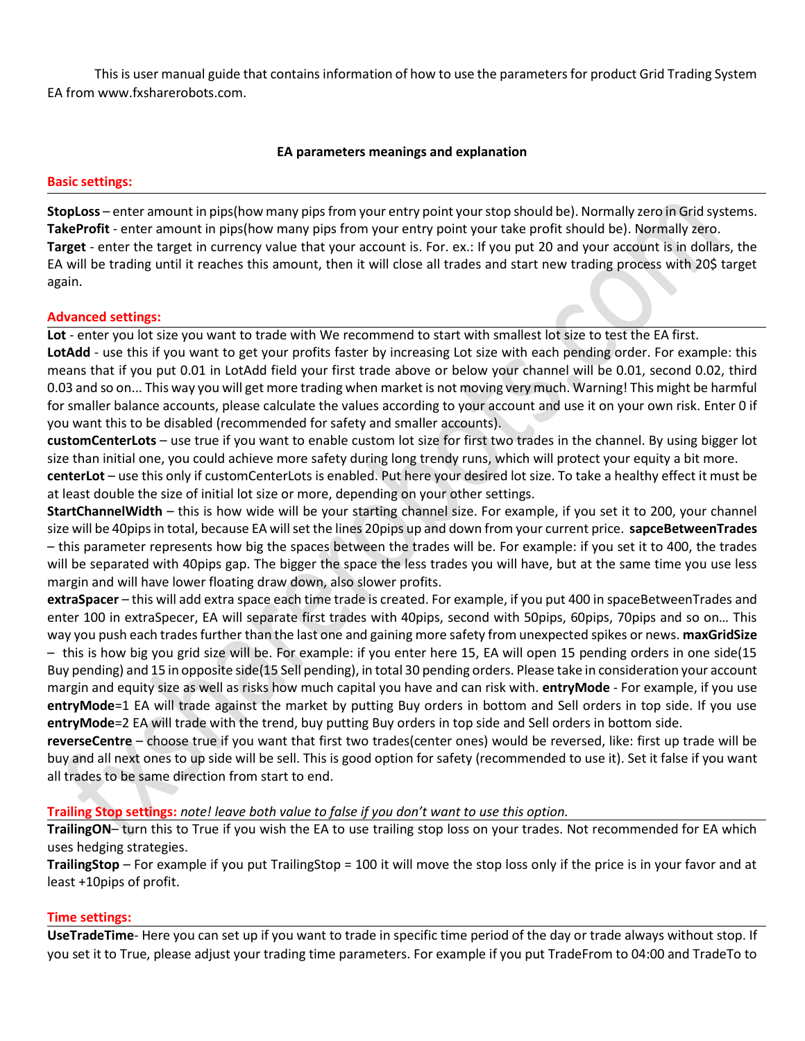This is user manual guide that contains information of how to use the parameters for product Grid Trading System EA from www.fxsharerobots.com.

# **EA parameters meanings and explanation**

## **Basic settings:**

**StopLoss** – enter amount in pips(how many pips from your entry point your stop should be). Normally zero in Grid systems. **TakeProfit** - enter amount in pips(how many pips from your entry point your take profit should be). Normally zero. **Target** - enter the target in currency value that your account is. For. ex.: If you put 20 and your account is in dollars, the EA will be trading until it reaches this amount, then it will close all trades and start new trading process with 20\$ target again.

### **Advanced settings:**

**Lot** - enter you lot size you want to trade with We recommend to start with smallest lot size to test the EA first.

**LotAdd** - use this if you want to get your profits faster by increasing Lot size with each pending order. For example: this means that if you put 0.01 in LotAdd field your first trade above or below your channel will be 0.01, second 0.02, third 0.03 and so on... This way you will get more trading when market is not moving very much. Warning! This might be harmful for smaller balance accounts, please calculate the values according to your account and use it on your own risk. Enter 0 if you want this to be disabled (recommended for safety and smaller accounts).

**customCenterLots** – use true if you want to enable custom lot size for first two trades in the channel. By using bigger lot size than initial one, you could achieve more safety during long trendy runs, which will protect your equity a bit more.

**centerLot** – use this only if customCenterLots is enabled. Put here your desired lot size. To take a healthy effect it must be at least double the size of initial lot size or more, depending on your other settings.

**StartChannelWidth** – this is how wide will be your starting channel size. For example, if you set it to 200, your channel size will be 40pips in total, because EA will set the lines 20pips up and down from your current price. **sapceBetweenTrades** – this parameter represents how big the spaces between the trades will be. For example: if you set it to 400, the trades will be separated with 40pips gap. The bigger the space the less trades you will have, but at the same time you use less margin and will have lower floating draw down, also slower profits.

**extraSpacer** – this will add extra space each time trade is created. For example, if you put 400 in spaceBetweenTrades and enter 100 in extraSpecer, EA will separate first trades with 40pips, second with 50pips, 60pips, 70pips and so on… This way you push each trades further than the last one and gaining more safety from unexpected spikes or news. **maxGridSize** – this is how big you grid size will be. For example: if you enter here 15, EA will open 15 pending orders in one side(15 Buy pending) and 15 in opposite side(15 Sell pending), in total 30 pending orders. Please take in consideration your account margin and equity size as well as risks how much capital you have and can risk with. **entryMode** - For example, if you use **entryMode**=1 EA will trade against the market by putting Buy orders in bottom and Sell orders in top side. If you use **entryMode**=2 EA will trade with the trend, buy putting Buy orders in top side and Sell orders in bottom side.

**reverseCentre** – choose true if you want that first two trades(center ones) would be reversed, like: first up trade will be buy and all next ones to up side will be sell. This is good option for safety (recommended to use it). Set it false if you want all trades to be same direction from start to end.

### **Trailing Stop settings:** *note! leave both value to false if you don't want to use this option.*

**TrailingON**– turn this to True if you wish the EA to use trailing stop loss on your trades. Not recommended for EA which uses hedging strategies.

**TrailingStop** – For example if you put TrailingStop = 100 it will move the stop loss only if the price is in your favor and at least +10pips of profit.

### **Time settings:**

**UseTradeTime**- Here you can set up if you want to trade in specific time period of the day or trade always without stop. If you set it to True, please adjust your trading time parameters. For example if you put TradeFrom to 04:00 and TradeTo to